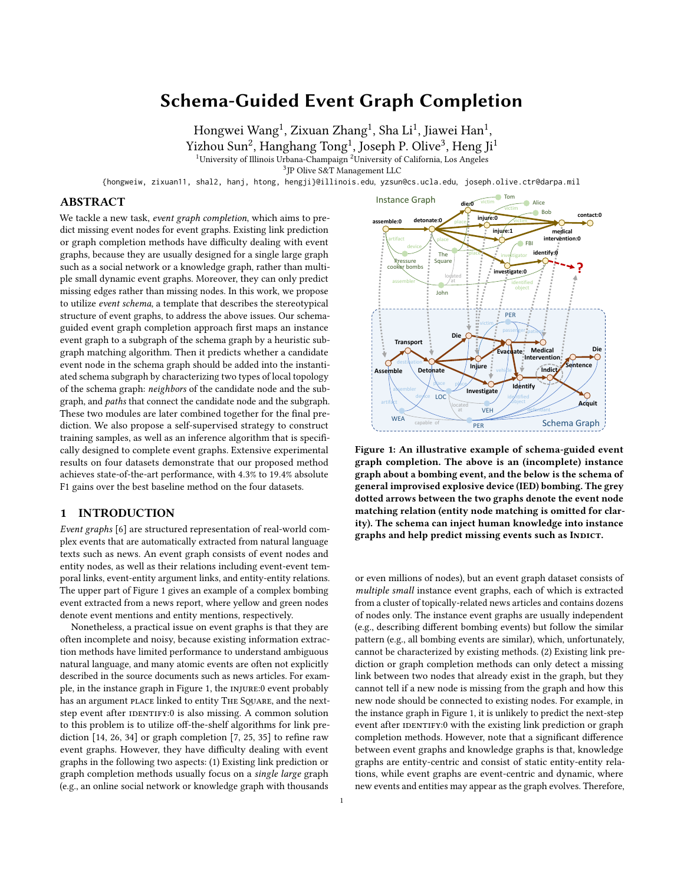# Schema-Guided Event Graph Completion

Hongwei Wang<sup>1</sup>, Zixuan Zhang<sup>1</sup>, Sha Li<sup>1</sup>, Iiawei Han<sup>1</sup>,  $Yizhou Sun<sup>2</sup>$ , Hanghang Tong<sup>1</sup>, Joseph P. Olive<sup>3</sup>, Heng Ii<sup>1</sup> <sup>1</sup>University of Illinois Urbana-Champaign <sup>2</sup>University of California, Los Angeles

3 JP Olive S&T Management LLC

{hongweiw, zixuan11, shal2, hanj, htong, hengji}@illinois.edu, yzsun@cs.ucla.edu, joseph.olive.ctr@darpa.mil

# ABSTRACT

We tackle a new task, event graph completion, which aims to predict missing event nodes for event graphs. Existing link prediction or graph completion methods have difficulty dealing with event graphs, because they are usually designed for a single large graph such as a social network or a knowledge graph, rather than multiple small dynamic event graphs. Moreover, they can only predict missing edges rather than missing nodes. In this work, we propose to utilize event schema, a template that describes the stereotypical structure of event graphs, to address the above issues. Our schemaguided event graph completion approach first maps an instance event graph to a subgraph of the schema graph by a heuristic subgraph matching algorithm. Then it predicts whether a candidate event node in the schema graph should be added into the instantiated schema subgraph by characterizing two types of local topology of the schema graph: neighbors of the candidate node and the subgraph, and paths that connect the candidate node and the subgraph. These two modules are later combined together for the final prediction. We also propose a self-supervised strategy to construct training samples, as well as an inference algorithm that is specifically designed to complete event graphs. Extensive experimental results on four datasets demonstrate that our proposed method achieves state-of-the-art performance, with 4.3% to 19.4% absolute F1 gains over the best baseline method on the four datasets.

## 1 INTRODUCTION

Event graphs [\[6\]](#page-8-0) are structured representation of real-world complex events that are automatically extracted from natural language texts such as news. An event graph consists of event nodes and entity nodes, as well as their relations including event-event temporal links, event-entity argument links, and entity-entity relations. The upper part of Figure [1](#page-0-0) gives an example of a complex bombing event extracted from a news report, where yellow and green nodes denote event mentions and entity mentions, respectively.

Nonetheless, a practical issue on event graphs is that they are often incomplete and noisy, because existing information extraction methods have limited performance to understand ambiguous natural language, and many atomic events are often not explicitly described in the source documents such as news articles. For example, in the instance graph in Figure [1,](#page-0-0) the injure:0 event probably has an argument place linked to entity THE SQUARE, and the nextstep event after IDENTIFY:0 is also missing. A common solution to this problem is to utilize off-the-shelf algorithms for link prediction [\[14,](#page-8-1) [26,](#page-8-2) [34\]](#page-9-0) or graph completion [\[7,](#page-8-3) [25,](#page-8-4) [35\]](#page-9-1) to refine raw event graphs. However, they have difficulty dealing with event graphs in the following two aspects: (1) Existing link prediction or graph completion methods usually focus on a single large graph (e.g., an online social network or knowledge graph with thousands

<span id="page-0-0"></span>

Figure 1: An illustrative example of schema-guided event graph completion. The above is an (incomplete) instance graph about a bombing event, and the below is the schema of general improvised explosive device (IED) bombing. The grey dotted arrows between the two graphs denote the event node matching relation (entity node matching is omitted for clarity). The schema can inject human knowledge into instance graphs and help predict missing events such as INDICT.

or even millions of nodes), but an event graph dataset consists of multiple small instance event graphs, each of which is extracted from a cluster of topically-related news articles and contains dozens of nodes only. The instance event graphs are usually independent (e.g., describing different bombing events) but follow the similar pattern (e.g., all bombing events are similar), which, unfortunately, cannot be characterized by existing methods. (2) Existing link prediction or graph completion methods can only detect a missing link between two nodes that already exist in the graph, but they cannot tell if a new node is missing from the graph and how this new node should be connected to existing nodes. For example, in the instance graph in Figure [1,](#page-0-0) it is unlikely to predict the next-step event after IDENTIFY:0 with the existing link prediction or graph completion methods. However, note that a significant difference between event graphs and knowledge graphs is that, knowledge graphs are entity-centric and consist of static entity-entity relations, while event graphs are event-centric and dynamic, where new events and entities may appear as the graph evolves. Therefore,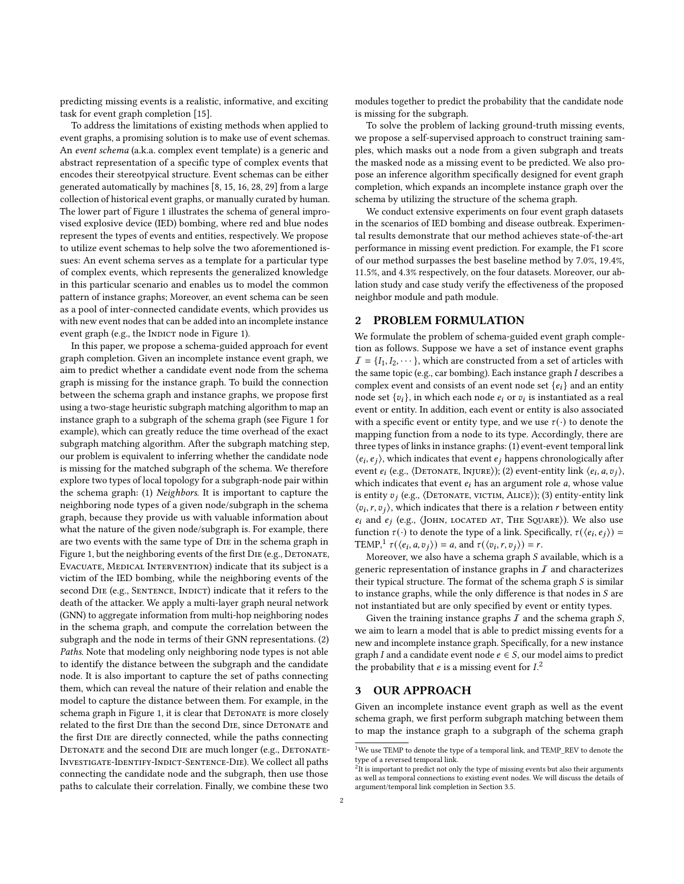predicting missing events is a realistic, informative, and exciting task for event graph completion [\[15\]](#page-8-5).

To address the limitations of existing methods when applied to event graphs, a promising solution is to make use of event schemas. An event schema (a.k.a. complex event template) is a generic and abstract representation of a specific type of complex events that encodes their stereotpyical structure. Event schemas can be either generated automatically by machines [\[8,](#page-8-6) [15,](#page-8-5) [16,](#page-8-7) [28,](#page-8-8) [29\]](#page-8-9) from a large collection of historical event graphs, or manually curated by human. The lower part of Figure [1](#page-0-0) illustrates the schema of general improvised explosive device (IED) bombing, where red and blue nodes represent the types of events and entities, respectively. We propose to utilize event schemas to help solve the two aforementioned issues: An event schema serves as a template for a particular type of complex events, which represents the generalized knowledge in this particular scenario and enables us to model the common pattern of instance graphs; Moreover, an event schema can be seen as a pool of inter-connected candidate events, which provides us with new event nodes that can be added into an incomplete instance event graph (e.g., the INDICT node in Figure [1\)](#page-0-0).

In this paper, we propose a schema-guided approach for event graph completion. Given an incomplete instance event graph, we aim to predict whether a candidate event node from the schema graph is missing for the instance graph. To build the connection between the schema graph and instance graphs, we propose first using a two-stage heuristic subgraph matching algorithm to map an instance graph to a subgraph of the schema graph (see Figure [1](#page-0-0) for example), which can greatly reduce the time overhead of the exact subgraph matching algorithm. After the subgraph matching step, our problem is equivalent to inferring whether the candidate node is missing for the matched subgraph of the schema. We therefore explore two types of local topology for a subgraph-node pair within the schema graph: (1) Neighbors. It is important to capture the neighboring node types of a given node/subgraph in the schema graph, because they provide us with valuable information about what the nature of the given node/subgraph is. For example, there are two events with the same type of Die in the schema graph in Figure [1,](#page-0-0) but the neighboring events of the first DIE (e.g., DETONATE, EVACUATE, MEDICAL INTERVENTION) indicate that its subject is a victim of the IED bombing, while the neighboring events of the second DIE (e.g., SENTENCE, INDICT) indicate that it refers to the death of the attacker. We apply a multi-layer graph neural network (GNN) to aggregate information from multi-hop neighboring nodes in the schema graph, and compute the correlation between the subgraph and the node in terms of their GNN representations. (2) Paths. Note that modeling only neighboring node types is not able to identify the distance between the subgraph and the candidate node. It is also important to capture the set of paths connecting them, which can reveal the nature of their relation and enable the model to capture the distance between them. For example, in the schema graph in Figure [1,](#page-0-0) it is clear that DETONATE is more closely related to the first DIE than the second DIE, since DETONATE and the first Die are directly connected, while the paths connecting DETONATE and the second DIE are much longer (e.g., DETONATE-Investigate-Identify-Indict-Sentence-Die). We collect all paths connecting the candidate node and the subgraph, then use those paths to calculate their correlation. Finally, we combine these two

modules together to predict the probability that the candidate node is missing for the subgraph.

To solve the problem of lacking ground-truth missing events, we propose a self-supervised approach to construct training samples, which masks out a node from a given subgraph and treats the masked node as a missing event to be predicted. We also propose an inference algorithm specifically designed for event graph completion, which expands an incomplete instance graph over the schema by utilizing the structure of the schema graph.

We conduct extensive experiments on four event graph datasets in the scenarios of IED bombing and disease outbreak. Experimental results demonstrate that our method achieves state-of-the-art performance in missing event prediction. For example, the F1 score of our method surpasses the best baseline method by 7.0%, 19.4%, 11.5%, and 4.3% respectively, on the four datasets. Moreover, our ablation study and case study verify the effectiveness of the proposed neighbor module and path module.

# 2 PROBLEM FORMULATION

We formulate the problem of schema-guided event graph completion as follows. Suppose we have a set of instance event graphs  $I = \{I_1, I_2, \dots\}$ , which are constructed from a set of articles with the same topic (e.g., car bombing). Each instance graph  $I$  describes a complex event and consists of an event node set  $\{e_i\}$  and an entity node set  $\{v_i\}$ , in which each node  $e_i$  or  $v_i$  is instantiated as a real event or entity. In addition, each event or entity is also associated with a specific event or entity type, and we use  $\tau(\cdot)$  to denote the mapping function from a node to its type. Accordingly, there are three types of links in instance graphs: (1) event-event temporal link  $\langle e_i, e_j \rangle$ , which indicates that event  $e_j$  happens chronologically after event  $e_i$  (e.g.,  $\langle$ DETONATE, INJURE $\rangle$ ); (2) event-entity link  $\langle e_i, a, v_j \rangle$ , which indicates that event  $e_i$  has an argument role  $a$ , whose value is entity  $v_j$  (e.g.,  $\langle$ DETONATE, VICTIM, ALICE $\rangle$ ); (3) entity-entity link  $\langle v_i, r, v_j \rangle$ , which indicates that there is a relation r between entity  $e_i$  and  $e_i$  (e.g.,  $\langle$ JOHN, LOCATED AT, THE SQUARE $\rangle$ ). We also use function  $\tau(\cdot)$  to denote the type of a link. Specifically,  $\tau(\langle e_i, e_j \rangle)$  = TEMP,<sup>[1](#page-1-0)</sup>  $\tau(\langle e_i, a, v_j \rangle) = a$ , and  $\tau(\langle v_i, r, v_j \rangle) = r$ .

Moreover, we also have a schema graph  $S$  available, which is a generic representation of instance graphs in  $I$  and characterizes their typical structure. The format of the schema graph  $S$  is similar to instance graphs, while the only difference is that nodes in  $S$  are not instantiated but are only specified by event or entity types.

Given the training instance graphs  $I$  and the schema graph  $S$ , we aim to learn a model that is able to predict missing events for a new and incomplete instance graph. Specifically, for a new instance graph *I* and a candidate event node  $e \in S$ , our model aims to predict the probability that *e* is a missing event for *.<sup>[2](#page-1-1)</sup>* 

## 3 OUR APPROACH

Given an incomplete instance event graph as well as the event schema graph, we first perform subgraph matching between them to map the instance graph to a subgraph of the schema graph

<span id="page-1-0"></span> $^{1}$  We use TEMP to denote the type of a temporal link, and TEMP\_REV to denote the type of a reversed temporal link.

<span id="page-1-1"></span> $21$ t is important to predict not only the type of missing events but also their arguments as well as temporal connections to existing event nodes. We will discuss the details of argument/temporal link completion in Section [3.5.](#page-4-0)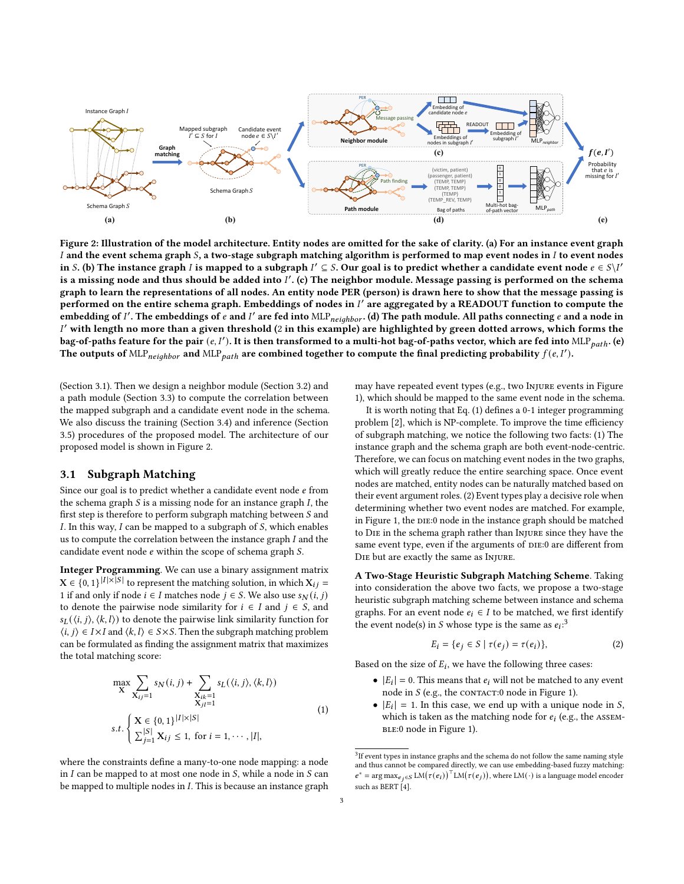<span id="page-2-1"></span>

Figure 2: Illustration of the model architecture. Entity nodes are omitted for the sake of clarity. (a) For an instance event graph  $I$  and the event schema graph  $S$ , a two-stage subgraph matching algorithm is performed to map event nodes in  $I$  to event nodes in S. (b) The instance graph *I* is mapped to a subgraph  $I' \subseteq S$ . Our goal is to predict whether a candidate event node  $e \in S \setminus I'$ is a missing node and thus should be added into  $I'$ . (c) The neighbor module. Message passing is performed on the schema graph to learn the representations of all nodes. An entity node PER (person) is drawn here to show that the message passing is performed on the entire schema graph. Embeddings of nodes in  $I^\prime$  are aggregated by a READOUT function to compute the embedding of I'. The embeddings of  $e$  and I' are fed into  $\text{MLP}_{neighbor}$ . (d) The path module. All paths connecting  $e$  and a node in  $I'$  with length no more than a given threshold (2 in this example) are highlighted by green dotted arrows, which forms the bag-of-paths feature for the pair  $(e, I')$ . It is then transformed to a multi-hot bag-of-paths vector, which are fed into MLP $_{path}$ . (e) The outputs of  $MLP_{neighbor}$  and  $MLP_{path}$  are combined together to compute the final predicting probability  $f(e, I')$ .

(Section [3.1\)](#page-2-0). Then we design a neighbor module (Section [3.2\)](#page-3-0) and a path module (Section [3.3\)](#page-3-1) to compute the correlation between the mapped subgraph and a candidate event node in the schema. We also discuss the training (Section [3.4\)](#page-4-1) and inference (Section [3.5\)](#page-4-0) procedures of the proposed model. The architecture of our proposed model is shown in Figure [2.](#page-2-1)

# <span id="page-2-0"></span>3.1 Subgraph Matching

Since our goal is to predict whether a candidate event node  $e$  from the schema graph  $S$  is a missing node for an instance graph  $I$ , the first step is therefore to perform subgraph matching between  $S$  and  $I$ . In this way,  $I$  can be mapped to a subgraph of  $S$ , which enables us to compute the correlation between the instance graph  $I$  and the candidate event node  $e$  within the scope of schema graph  $S$ .

Integer Programming. We can use a binary assignment matrix  $X \in \{0, 1\}^{|I| \times |S|}$  to represent the matching solution, in which  $X_{ij} =$ 1 if and only if node  $i \in I$  matches node  $j \in S$ . We also use  $s_N(i, j)$ to denote the pairwise node similarity for  $i \in I$  and  $j \in S$ , and  $s_L(\langle i, j \rangle, \langle k, l \rangle)$  to denote the pairwise link similarity function for  $\langle i, j \rangle \in I \times I$  and  $\langle k, l \rangle \in S \times S$ . Then the subgraph matching problem can be formulated as finding the assignment matrix that maximizes the total matching score:

<span id="page-2-2"></span>
$$
\max_{\mathbf{X}} \sum_{X_{ij}=1} s_N(i, j) + \sum_{\substack{X_{ik}=1 \\ X_{ji}=1}} s_L(\langle i, j \rangle, \langle k, l \rangle)
$$
  
s.t. 
$$
\begin{cases} \mathbf{X} \in \{0, 1\}^{|I| \times |S|} \\ \sum_{j=1}^{|S|} \mathbf{X}_{ij} \le 1, \text{ for } i = 1, \cdots, |I|, \end{cases}
$$
(1)

where the constraints define a many-to-one node mapping: a node in  $I$  can be mapped to at most one node in  $S$ , while a node in  $S$  can be mapped to multiple nodes in  $I$ . This is because an instance graph may have repeated event types (e.g., two Injure events in Figure [1\)](#page-0-0), which should be mapped to the same event node in the schema.

It is worth noting that Eq. [\(1\)](#page-2-2) defines a 0-1 integer programming problem [\[2\]](#page-8-10), which is NP-complete. To improve the time efficiency of subgraph matching, we notice the following two facts: (1) The instance graph and the schema graph are both event-node-centric. Therefore, we can focus on matching event nodes in the two graphs, which will greatly reduce the entire searching space. Once event nodes are matched, entity nodes can be naturally matched based on their event argument roles. (2) Event types play a decisive role when determining whether two event nodes are matched. For example, in Figure [1,](#page-0-0) the DIE:0 node in the instance graph should be matched to Die in the schema graph rather than Injure since they have the same event type, even if the arguments of DIE:0 are different from Die but are exactly the same as Injure.

A Two-Stage Heuristic Subgraph Matching Scheme. Taking into consideration the above two facts, we propose a two-stage heuristic subgraph matching scheme between instance and schema graphs. For an event node  $e_i \in I$  to be matched, we first identify the event node(s) in *S* whose type is the same as  $e_i$ <sup>[3](#page-2-3)</sup>.

<span id="page-2-4"></span>
$$
E_i = \{e_j \in S \mid \tau(e_j) = \tau(e_i)\},\tag{2}
$$

Based on the size of  $E_i$ , we have the following three cases:

- $|E_i| = 0$ . This means that  $e_i$  will not be matched to any event node in  $S$  (e.g., the CONTACT:0 node in Figure [1\)](#page-0-0).
- $|E_i| = 1$ . In this case, we end up with a unique node in S, which is taken as the matching node for  $e_i$  (e.g., the ASSEM-BLE:0 node in Figure [1\)](#page-0-0).

<span id="page-2-3"></span> $3$ If event types in instance graphs and the schema do not follow the same naming style and thus cannot be compared directly, we can use embedding-based fuzzy matching:  $e^* = \arg \max_{e_j \in S} LM(\tau(e_i))^{\top} LM(\tau(e_j)),$  where  $LM(\cdot)$  is a language model encoder such as BERT [\[4\]](#page-8-11).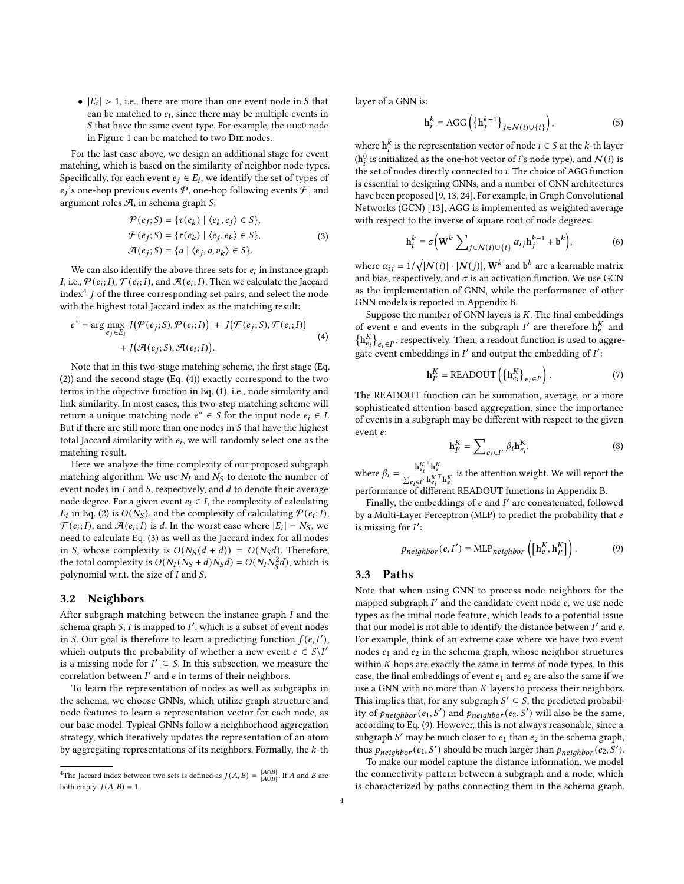•  $|E_i| > 1$ , i.e., there are more than one event node in S that can be matched to  $e_i$ , since there may be multiple events in S that have the same event type. For example, the DIE:0 node in Figure [1](#page-0-0) can be matched to two Die nodes.

For the last case above, we design an additional stage for event matching, which is based on the similarity of neighbor node types. Specifically, for each event  $e_i \in E_i$ , we identify the set of types of  $e_i$ 's one-hop previous events  $P$ , one-hop following events  $\mathcal{F}$ , and argument roles  $A$ , in schema graph  $S$ :

$$
\mathcal{P}(e_j; S) = \{\tau(e_k) \mid \langle e_k, e_j \rangle \in S\},
$$
  

$$
\mathcal{F}(e_j; S) = \{\tau(e_k) \mid \langle e_j, e_k \rangle \in S\},
$$
  

$$
\mathcal{A}(e_j; S) = \{a \mid \langle e_j, a, v_k \rangle \in S\}.
$$
 (3)

<span id="page-3-4"></span>We can also identify the above three sets for  $e_i$  in instance graph *I*, i.e.,  $\mathcal{P}(e_i; I), \mathcal{F}(e_i; I)$ , and  $\mathcal{A}(e_i; I)$ . Then we calculate the Jaccard index<sup>[4](#page-3-2)</sup>  $\overrightarrow{l}$  of the three corresponding set pairs, and select the node with the highest total Jaccard index as the matching result:

<span id="page-3-3"></span>
$$
e^* = \arg\max_{e_j \in E_i} J(\mathcal{P}(e_j; S), \mathcal{P}(e_i; I)) + J(\mathcal{F}(e_j; S), \mathcal{F}(e_i; I)) + J(\mathcal{A}(e_j; S), \mathcal{A}(e_i; I)).
$$
\n(4)

Note that in this two-stage matching scheme, the first stage (Eq. [\(2\)](#page-2-4)) and the second stage (Eq. [\(4\)](#page-3-3)) exactly correspond to the two terms in the objective function in Eq. [\(1\)](#page-2-2), i.e., node similarity and link similarity. In most cases, this two-step matching scheme will return a unique matching node  $e^* \in S$  for the input node  $e_i \in I$ . But if there are still more than one nodes in  $S$  that have the highest total Jaccard similarity with  $e_i$ , we will randomly select one as the matching result.

Here we analyze the time complexity of our proposed subgraph matching algorithm. We use  $N_I$  and  $N_S$  to denote the number of event nodes in  $I$  and  $S$ , respectively, and  $d$  to denote their average node degree. For a given event  $e_i \in I$ , the complexity of calculating  $E_i$  in Eq. [\(2\)](#page-2-4) is  $O(N_S)$ , and the complexity of calculating  $P(e_i; I)$ ,  $\mathcal{F}(e_i; I)$ , and  $\mathcal{A}(e_i; I)$  is d. In the worst case where  $|E_i| = N_S$ , we need to calculate Eq. [\(3\)](#page-3-4) as well as the Jaccard index for all nodes in S, whose complexity is  $O(N_S(d + d)) = O(N_S d)$ . Therefore, the total complexity is  $O(N_I(N_S + d)N_S d) = O(N_I N_S^2 d)$ , which is polynomial w.r.t. the size of  $I$  and  $S$ .

# <span id="page-3-0"></span>3.2 Neighbors

After subgraph matching between the instance graph  $I$  and the schema graph S, I is mapped to I', which is a subset of event nodes in S. Our goal is therefore to learn a predicting function  $f(e, I')$ , which outputs the probability of whether a new event  $e \in S \setminus I'$ is a missing node for  $I' \subseteq S$ . In this subsection, we measure the correlation between  $I'$  and  $e$  in terms of their neighbors.

To learn the representation of nodes as well as subgraphs in the schema, we choose GNNs, which utilize graph structure and node features to learn a representation vector for each node, as our base model. Typical GNNs follow a neighborhood aggregation strategy, which iteratively updates the representation of an atom by aggregating representations of its neighbors. Formally, the  $k$ -th layer of a GNN is:

$$
\mathbf{h}_i^k = \text{AGG}\left(\{\mathbf{h}_j^{k-1}\}_{j \in \mathcal{N}(i) \cup \{i\}}\right),\tag{5}
$$

where  $\mathbf{h}_i^k$  is the representation vector of node  $i \in S$  at the k-th layer ( $h_i^0$  is initialized as the one-hot vector of *i*'s node type), and  $N(i)$  is the set of nodes directly connected to *i*. The choice of AGG function is essential to designing GNNs, and a number of GNN architectures have been proposed [\[9,](#page-8-12) [13,](#page-8-13) [24\]](#page-8-14). For example, in Graph Convolutional Networks (GCN) [\[13\]](#page-8-13), AGG is implemented as weighted average with respect to the inverse of square root of node degrees:

$$
\mathbf{h}_i^k = \sigma \Big(\mathbf{W}^k \sum_{j \in \mathcal{N}(i) \cup \{i\}} \alpha_{ij} \mathbf{h}_j^{k-1} + \mathbf{b}^k\Big),\tag{6}
$$

where  $\alpha_{ij} = 1/\sqrt{|\mathcal{N}(i)| \cdot |\mathcal{N}(j)|}$ ,  $\mathbf{W}^k$  and  $\mathbf{b}^k$  are a learnable matrix and bias, respectively, and  $\sigma$  is an activation function. We use GCN as the implementation of GNN, while the performance of other GNN models is reported in Appendix [B.](#page-9-2)

Suppose the number of GNN layers is  $K$ . The final embeddings of event *e* and events in the subgraph *I'* are therefore  $h_e^K$  and  ${\{\mathbf h}_{e_i}^K\}}_{e_i \in I'}$ , respectively. Then, a readout function is used to aggregate event embeddings in  $I'$  and output the embedding of  $I'$ :

$$
\mathbf{h}_{I'}^{K} = \text{READOUT}\left(\left\{\mathbf{h}_{e_i}^{K}\right\}_{e_i \in I'}\right). \tag{7}
$$

The READOUT function can be summation, average, or a more sophisticated attention-based aggregation, since the importance of events in a subgraph may be different with respect to the given event e:

$$
\mathbf{h}_{I'}^K = \sum_{e_i \in I'} \beta_i \mathbf{h}_{e_i}^K,
$$
\n(8)

where  $\beta_i = \frac{\mathbf{h}_{e_i}^K \mathbf{h}_{e_i}^K}{\sum_{i} \mathbf{h}_{e_i}^K}$  $\frac{\mathbf{n}_{e_i}}{\sum_{e_i\in I'}\mathbf{h}_{e'}^{K}\top\mathbf{h}_{e'}^{K}}$  is the attention weight. We will report the performance of different READOUT functions in Appendix [B.](#page-9-2)

Finally, the embeddings of  $e$  and  $I'$  are concatenated, followed

by a Multi-Layer Perceptron (MLP) to predict the probability that is missing for  $I'$ :

<span id="page-3-5"></span>
$$
p_{neighbor}(e, I') = \text{MLP}_{neighbor}\left(\left[\mathbf{h}_{e}^{K}, \mathbf{h}_{I'}^{K}\right]\right). \tag{9}
$$

#### <span id="page-3-1"></span>3.3 Paths

Note that when using GNN to process node neighbors for the mapped subgraph  $I'$  and the candidate event node  $e$ , we use node types as the initial node feature, which leads to a potential issue that our model is not able to identify the distance between  $I'$  and  $e$ . For example, think of an extreme case where we have two event nodes  $e_1$  and  $e_2$  in the schema graph, whose neighbor structures within  $K$  hops are exactly the same in terms of node types. In this case, the final embeddings of event  $e_1$  and  $e_2$  are also the same if we use a GNN with no more than  $K$  layers to process their neighbors. This implies that, for any subgraph  $S' \subseteq S$ , the predicted probability of  $p_{neiahbor}(e_1, S')$  and  $p_{neiahbor}(e_2, S')$  will also be the same, according to Eq. [\(9\)](#page-3-5). However, this is not always reasonable, since a subgraph S' may be much closer to  $e_1$  than  $e_2$  in the schema graph, thus  $p_{neiahbor}(e_1, S')$  should be much larger than  $p_{neiahbor}(e_2, S')$ .

To make our model capture the distance information, we model the connectivity pattern between a subgraph and a node, which is characterized by paths connecting them in the schema graph.

<span id="page-3-2"></span><sup>&</sup>lt;sup>4</sup>The Jaccard index between two sets is defined as  $J(A, B) = \frac{|A \cap B|}{|A \cup B|}$ . If A and B are both empty,  $J(A, B) = 1$ .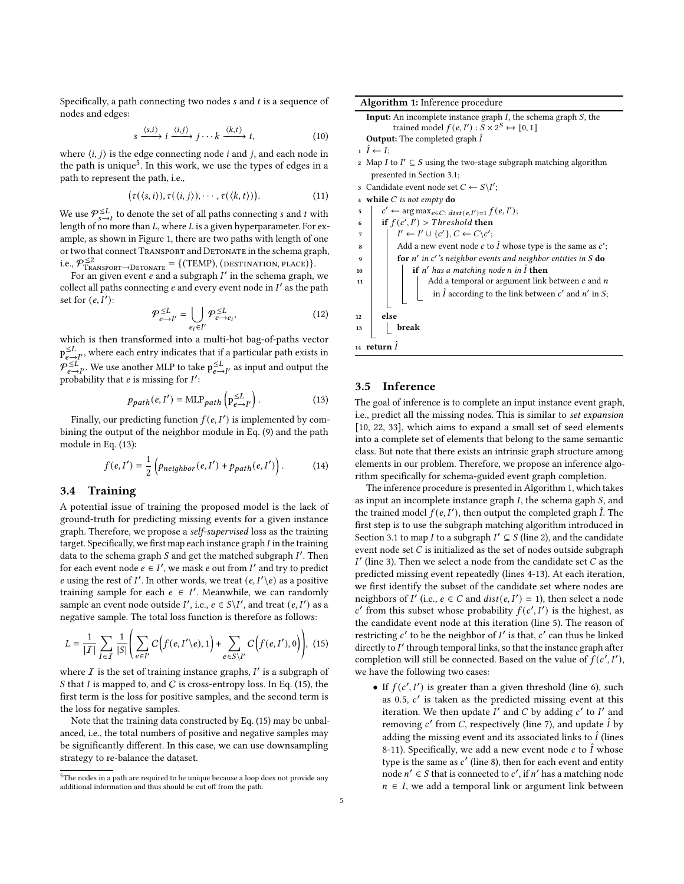Specifically, a path connecting two nodes  $s$  and  $t$  is a sequence of nodes and edges:

$$
s \xrightarrow{\langle s,i\rangle} i \xrightarrow{\langle i,j\rangle} j \cdots k \xrightarrow{\langle k,t\rangle} t,
$$
 (10)

where  $\langle i, j \rangle$  is the edge connecting node *i* and *j*, and each node in the path is unique<sup>[5](#page-4-2)</sup>. In this work, we use the types of edges in a path to represent the path, i.e.,

$$
(\tau(\langle s,i\rangle),\tau(\langle i,j\rangle),\cdots,\tau(\langle k,t\rangle)).
$$
\n(11)

We use  $\mathcal{P}_{s\rightarrow t}^{\leq L}$  to denote the set of all paths connecting  $s$  and  $t$  with length of no more than  $L$ , where  $L$  is a given hyperparameter. For example, as shown in Figure [1,](#page-0-0) there are two paths with length of one or two that connect TRANSPORT and DETONATE in the schema graph, i.e.,  $P_{\text{TRANSPORT}\rightarrow\text{DETONATE}}^{\leq 2}$  = {(TEMP), (DESTINATION, PLACE)}.<br>For an given event e and a subgraph I' in the schema graph, we

collect all paths connecting e and every event node in  $I'$  as the path set for  $(e, I')$ :

$$
\mathcal{P}_{e \to I'}^{\leq L} = \bigcup_{e_i \in I'} \mathcal{P}_{e \to e_i}^{\leq L},\tag{12}
$$

which is then transformed into a multi-hot bag-of-paths vector  $p_{e\rightarrow I'}^{\leq L}$ , where each entry indicates that if a particular path exists in  $p \leq L$  $\sum_{e \to I'}^{\leq L}$ . We use another MLP to take  $p_{e \to I'}^{\leq L}$  as input and output the probability that *e* is missing for *I'*:

<span id="page-4-3"></span>
$$
p_{path}(e, I') = \text{MLP}_{path}\left(\mathbf{p}_{e \to I'}^{\leq L}\right). \tag{13}
$$

Finally, our predicting function  $f(e, I')$  is implemented by combining the output of the neighbor module in Eq. [\(9\)](#page-3-5) and the path module in Eq. [\(13\)](#page-4-3):

$$
f(e, I') = \frac{1}{2} \left( p_{neighbor}(e, I') + p_{path}(e, I') \right). \tag{14}
$$

# <span id="page-4-1"></span>3.4 Training

A potential issue of training the proposed model is the lack of ground-truth for predicting missing events for a given instance graph. Therefore, we propose a self-supervised loss as the training target. Specifically, we first map each instance graph  $I$  in the training data to the schema graph  $S$  and get the matched subgraph  $I'$ . Then for each event node  $e \in I'$ , we mask  $e$  out from  $I'$  and try to predict e using the rest of I'. In other words, we treat  $(e, I'\n)$  as a positive training sample for each  $e \in I'$ . Meanwhile, we can randomly sample an event node outside I', i.e.,  $e \in S \setminus I'$ , and treat  $(e, I')$  as a negative sample. The total loss function is therefore as follows:

<span id="page-4-4"></span>
$$
L = \frac{1}{|I|} \sum_{I \in I} \frac{1}{|S|} \left( \sum_{e \in I'} C\Big(f(e, I'\backslash e), 1\Big) + \sum_{e \in S\backslash I'} C\Big(f(e, I'), 0\Big) \right), \tag{15}
$$

where  $\overline{I}$  is the set of training instance graphs,  $I'$  is a subgraph of S that  $I$  is mapped to, and  $C$  is cross-entropy loss. In Eq. [\(15\)](#page-4-4), the first term is the loss for positive samples, and the second term is the loss for negative samples.

Note that the training data constructed by Eq. [\(15\)](#page-4-4) may be unbalanced, i.e., the total numbers of positive and negative samples may be significantly different. In this case, we can use downsampling strategy to re-balance the dataset.

<span id="page-4-5"></span>

| Algorithm 1: Inference procedure                                                                   |  |  |  |  |  |  |  |  |
|----------------------------------------------------------------------------------------------------|--|--|--|--|--|--|--|--|
| Input: An incomplete instance graph $I$ , the schema graph $S$ , the                               |  |  |  |  |  |  |  |  |
| trained model $f(e, I'): S \times 2^S \mapsto [0, 1]$                                              |  |  |  |  |  |  |  |  |
| <b>Output:</b> The completed graph $\hat{I}$                                                       |  |  |  |  |  |  |  |  |
| $i \tilde{I} \leftarrow I$                                                                         |  |  |  |  |  |  |  |  |
| Map <i>I</i> to $I' \subseteq S$ using the two-stage subgraph matching algorithm<br>$\overline{2}$ |  |  |  |  |  |  |  |  |
| presented in Section 3.1;                                                                          |  |  |  |  |  |  |  |  |
| Candidate event node set $C \leftarrow S \backslash I'$ ;<br>3                                     |  |  |  |  |  |  |  |  |
| 4 while C is not empty do                                                                          |  |  |  |  |  |  |  |  |
| $c' \leftarrow \arg \max_{e \in C: \; dist(e, I') = 1} f(e, I');$<br>5                             |  |  |  |  |  |  |  |  |
| if $f(c', I') > Threshold$ then<br>6                                                               |  |  |  |  |  |  |  |  |
| $I' \leftarrow I' \cup \{c'\}, C \leftarrow C \setminus c';$<br>$\overline{7}$                     |  |  |  |  |  |  |  |  |
| Add a new event node c to $\hat{I}$ whose type is the same as $c'$ ;<br>8                          |  |  |  |  |  |  |  |  |
| for $n'$ in $c'$ 's neighbor events and neighbor entities in $S$ do<br>9                           |  |  |  |  |  |  |  |  |
| if $n'$ has a matching node n in $\hat{I}$ then<br>10                                              |  |  |  |  |  |  |  |  |
| Add a temporal or argument link between $\boldsymbol{c}$ and $\boldsymbol{n}$<br>11                |  |  |  |  |  |  |  |  |
| in $\hat{I}$ according to the link between $c'$ and $n'$ in $S;$                                   |  |  |  |  |  |  |  |  |
| else<br>12                                                                                         |  |  |  |  |  |  |  |  |
| break<br>13                                                                                        |  |  |  |  |  |  |  |  |
| 14 return $\hat{I}$                                                                                |  |  |  |  |  |  |  |  |

# <span id="page-4-0"></span>3.5 Inference

The goal of inference is to complete an input instance event graph, i.e., predict all the missing nodes. This is similar to set expansion [\[10,](#page-8-15) [22,](#page-8-16) [33\]](#page-9-3), which aims to expand a small set of seed elements into a complete set of elements that belong to the same semantic class. But note that there exists an intrinsic graph structure among elements in our problem. Therefore, we propose an inference algorithm specifically for schema-guided event graph completion.

The inference procedure is presented in Algorithm [1,](#page-4-5) which takes as input an incomplete instance graph  $I$ , the schema gaph  $S$ , and the trained model  $\hat{f}(e, I')$ , then output the completed graph  $\hat{I}$ . The first step is to use the subgraph matching algorithm introduced in Section [3.1](#page-2-0) to map *I* to a subgraph  $I' \subseteq S$  (line 2), and the candidate event node set  $C$  is initialized as the set of nodes outside subgraph I' (line 3). Then we select a node from the candidate set  $C$  as the predicted missing event repeatedly (lines 4-13). At each iteration, we first identify the subset of the candidate set where nodes are neighbors of I' (i.e.,  $e \in C$  and  $dist(e, I') = 1$ ), then select a node c' from this subset whose probability  $f(c', I')$  is the highest, as the candidate event node at this iteration (line 5). The reason of restricting  $c'$  to be the neighbor of  $I'$  is that,  $c'$  can thus be linked directly to I' through temporal links, so that the instance graph after completion will still be connected. Based on the value of  $f(c', I')$ , we have the following two cases:

• If  $f(c', I')$  is greater than a given threshold (line 6), such as 0.5, ′ is taken as the predicted missing event at this iteration. We then update  $I'$  and C by adding  $c'$  to I' and removing c' from C, respectively (line 7), and update  $\hat{I}$  by adding the missing event and its associated links to  $\hat{I}$  (lines 8-11). Specifically, we add a new event node c to  $\hat{I}$  whose type is the same as  $c'$  (line 8), then for each event and entity node  $n' \in S$  that is connected to c', if n' has a matching node  $n \in I$ , we add a temporal link or argument link between

<span id="page-4-2"></span><sup>&</sup>lt;sup>5</sup>The nodes in a path are required to be unique because a loop does not provide any additional information and thus should be cut off from the path.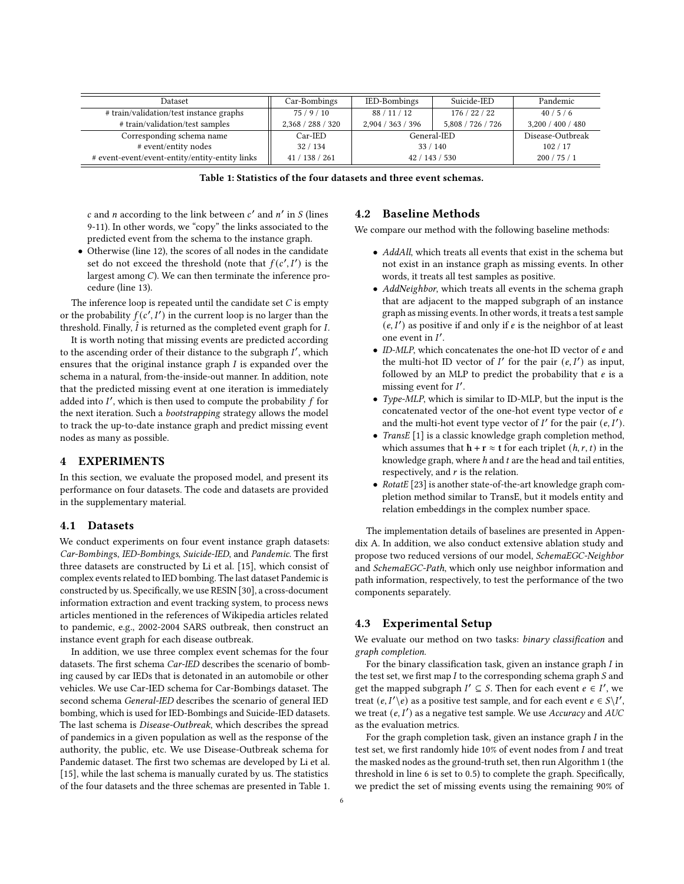<span id="page-5-0"></span>

| Dataset                                        | Car-Bombings                 | IED-Bombings      | Suicide-IED       | Pandemic          |
|------------------------------------------------|------------------------------|-------------------|-------------------|-------------------|
| # train/validation/test instance graphs        | 75/9/10                      | 88 / 11 / 12      | 176/22/22         | 40/5/6            |
| # train/validation/test samples                | 2,368 / 288 / 320            | 2,904 / 363 / 396 | 5,808 / 726 / 726 | 3,200 / 400 / 480 |
| Corresponding schema name                      | Car-IED                      | General-IED       |                   | Disease-Outbreak  |
| # event/entity nodes                           | 32/134<br>33/140             |                   |                   | 102/17            |
| # event-event/event-entity/entity-entity links | 41/138/261<br>42 / 143 / 530 |                   | 200/75/1          |                   |

Table 1: Statistics of the four datasets and three event schemas.

c and *n* according to the link between  $c'$  and  $n'$  in S (lines 9-11). In other words, we "copy" the links associated to the predicted event from the schema to the instance graph.

• Otherwise (line 12), the scores of all nodes in the candidate set do not exceed the threshold (note that  $f(c', I')$  is the largest among  $C$ ). We can then terminate the inference procedure (line 13).

The inference loop is repeated until the candidate set  $C$  is empty or the probability  $f(c', I')$  in the current loop is no larger than the threshold. Finally,  $\hat{I}$  is returned as the completed event graph for  $I$ .

It is worth noting that missing events are predicted according to the ascending order of their distance to the subgraph  $I'$ , which ensures that the original instance graph  $I$  is expanded over the schema in a natural, from-the-inside-out manner. In addition, note that the predicted missing event at one iteration is immediately added into I', which is then used to compute the probability f for the next iteration. Such a *bootstrapping* strategy allows the model to track the up-to-date instance graph and predict missing event nodes as many as possible.

# 4 EXPERIMENTS

In this section, we evaluate the proposed model, and present its performance on four datasets. The code and datasets are provided in the supplementary material.

## 4.1 Datasets

We conduct experiments on four event instance graph datasets: Car-Bombings, IED-Bombings, Suicide-IED, and Pandemic. The first three datasets are constructed by Li et al. [\[15\]](#page-8-5), which consist of complex events related to IED bombing. The last dataset Pandemic is constructed by us. Specifically, we use RESIN [\[30\]](#page-9-4), a cross-document information extraction and event tracking system, to process news articles mentioned in the references of Wikipedia articles related to pandemic, e.g., 2002-2004 SARS outbreak, then construct an instance event graph for each disease outbreak.

In addition, we use three complex event schemas for the four datasets. The first schema Car-IED describes the scenario of bombing caused by car IEDs that is detonated in an automobile or other vehicles. We use Car-IED schema for Car-Bombings dataset. The second schema General-IED describes the scenario of general IED bombing, which is used for IED-Bombings and Suicide-IED datasets. The last schema is Disease-Outbreak, which describes the spread of pandemics in a given population as well as the response of the authority, the public, etc. We use Disease-Outbreak schema for Pandemic dataset. The first two schemas are developed by Li et al. [\[15\]](#page-8-5), while the last schema is manually curated by us. The statistics of the four datasets and the three schemas are presented in Table [1.](#page-5-0)

# 4.2 Baseline Methods

We compare our method with the following baseline methods:

- AddAll, which treats all events that exist in the schema but not exist in an instance graph as missing events. In other words, it treats all test samples as positive.
- AddNeighbor, which treats all events in the schema graph that are adjacent to the mapped subgraph of an instance graph as missing events. In other words, it treats a test sample  $(e, I')$  as positive if and only if e is the neighbor of at least one event in  $I'$ .
- $\bullet$  ID-MLP, which concatenates the one-hot ID vector of  $e$  and the multi-hot ID vector of  $I'$  for the pair  $(e, I')$  as input, followed by an MLP to predict the probability that  $e$  is a missing event for  $I'$ .
- Type-MLP, which is similar to ID-MLP, but the input is the concatenated vector of the one-hot event type vector of  $e$ and the multi-hot event type vector of  $I'$  for the pair  $(e, I')$ .
- TransE [\[1\]](#page-8-17) is a classic knowledge graph completion method, which assumes that  $\mathbf{h} + \mathbf{r} \approx \mathbf{t}$  for each triplet  $(h, r, t)$  in the knowledge graph, where  $h$  and  $t$  are the head and tail entities, respectively, and  $r$  is the relation.
- RotatE [\[23\]](#page-8-18) is another state-of-the-art knowledge graph completion method similar to TransE, but it models entity and relation embeddings in the complex number space.

The implementation details of baselines are presented in Appendix [A.](#page-9-5) In addition, we also conduct extensive ablation study and propose two reduced versions of our model, SchemaEGC-Neighbor and SchemaEGC-Path, which only use neighbor information and path information, respectively, to test the performance of the two components separately.

# 4.3 Experimental Setup

We evaluate our method on two tasks: binary classification and graph completion.

For the binary classification task, given an instance graph  $I$  in the test set, we first map  $I$  to the corresponding schema graph  $S$  and get the mapped subgraph  $I' \subseteq S$ . Then for each event  $e \in I'$ , we treat  $(e, I' \backslash e)$  as a positive test sample, and for each event  $e \in S \backslash I'$ , we treat  $(e, I')$  as a negative test sample. We use Accuracy and AUC as the evaluation metrics.

For the graph completion task, given an instance graph  $I$  in the test set, we first randomly hide  $10\%$  of event nodes from  $I$  and treat the masked nodes as the ground-truth set, then run Algorithm [1](#page-4-5) (the threshold in line 6 is set to 0.5) to complete the graph. Specifically, we predict the set of missing events using the remaining 90% of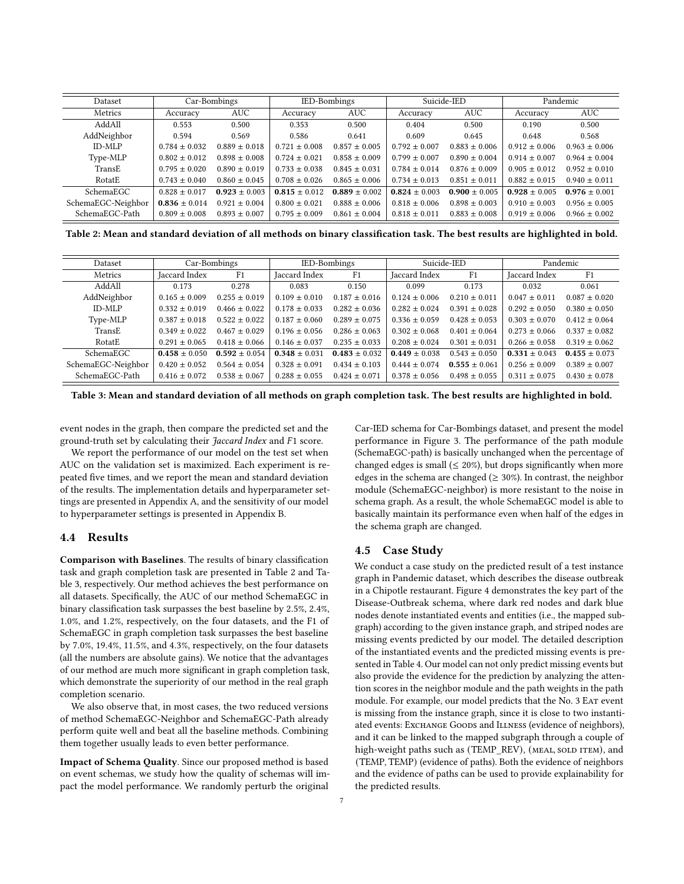<span id="page-6-0"></span>

| Dataset            |                   | Car-Bombings<br>IED-Bombings |                   |                   | Suicide-JED       |                   | Pandemic          |                   |
|--------------------|-------------------|------------------------------|-------------------|-------------------|-------------------|-------------------|-------------------|-------------------|
| Metrics            | Accuracy          | <b>AUC</b>                   | Accuracy          | <b>AUC</b>        | Accuracy          | AUC               | Accuracy          | AUC               |
| AddAll             | 0.553             | 0.500                        | 0.353             | 0.500             | 0.404             | 0.500             | 0.190             | 0.500             |
| AddNeighbor        | 0.594             | 0.569                        | 0.586             | 0.641             | 0.609             | 0.645             | 0.648             | 0.568             |
| <b>ID-MLP</b>      | $0.784 \pm 0.032$ | $0.889 \pm 0.018$            | $0.721 \pm 0.008$ | $0.857 \pm 0.005$ | $0.792 \pm 0.007$ | $0.883 \pm 0.006$ | $0.912 \pm 0.006$ | $0.963 \pm 0.006$ |
| Type-MLP           | $0.802 \pm 0.012$ | $0.898 \pm 0.008$            | $0.724 \pm 0.021$ | $0.858 \pm 0.009$ | $0.799 \pm 0.007$ | $0.890 \pm 0.004$ | $0.914 \pm 0.007$ | $0.964 \pm 0.004$ |
| TransE             | $0.795 \pm 0.020$ | $0.890 \pm 0.019$            | $0.733 \pm 0.038$ | $0.845 \pm 0.031$ | $0.784 \pm 0.014$ | $0.876 \pm 0.009$ | $0.905 \pm 0.012$ | $0.952 \pm 0.010$ |
| RotatE             | $0.743 \pm 0.040$ | $0.860 \pm 0.045$            | $0.708 \pm 0.026$ | $0.865 \pm 0.006$ | $0.734 \pm 0.013$ | $0.851 \pm 0.011$ | $0.882 \pm 0.015$ | $0.940 \pm 0.011$ |
| SchemaEGC          | $0.828 \pm 0.017$ | $0.923 \pm 0.003$            | $0.815 \pm 0.012$ | $0.889 \pm 0.002$ | $0.824 \pm 0.003$ | $0.900 \pm 0.005$ | $0.928 \pm 0.005$ | $0.976 \pm 0.001$ |
| SchemaEGC-Neighbor | $0.836 \pm 0.014$ | $0.921 \pm 0.004$            | $0.800 \pm 0.021$ | $0.888 \pm 0.006$ | $0.818 \pm 0.006$ | $0.898 \pm 0.003$ | $0.910 \pm 0.003$ | $0.956 \pm 0.005$ |
| SchemaEGC-Path     | $0.809 \pm 0.008$ | $0.893 \pm 0.007$            | $0.795 \pm 0.009$ | $0.861 \pm 0.004$ | $0.818 \pm 0.011$ | $0.883 \pm 0.008$ | $0.919 \pm 0.006$ | $0.966 \pm 0.002$ |

Table 2: Mean and standard deviation of all methods on binary classification task. The best results are highlighted in bold.

<span id="page-6-1"></span>

| Dataset            | Car-Bombings      |                   | IED-Bombings      |                   | Suicide-IED       |                   | Pandemic          |                   |
|--------------------|-------------------|-------------------|-------------------|-------------------|-------------------|-------------------|-------------------|-------------------|
| Metrics            | Jaccard Index     | F1                | Jaccard Index     | F1                | Jaccard Index     | F <sub>1</sub>    | Jaccard Index     | F1                |
| AddAll             | 0.173             | 0.278             | 0.083             | 0.150             | 0.099             | 0.173             | 0.032             | 0.061             |
| AddNeighbor        | $0.165 \pm 0.009$ | $0.255 \pm 0.019$ | $0.109 \pm 0.010$ | $0.187 \pm 0.016$ | $0.124 \pm 0.006$ | $0.210 \pm 0.011$ | $0.047 \pm 0.011$ | $0.087 \pm 0.020$ |
| <b>ID-MLP</b>      | $0.332 \pm 0.019$ | $0.466 \pm 0.022$ | $0.178 \pm 0.033$ | $0.282 \pm 0.036$ | $0.282 \pm 0.024$ | $0.391 \pm 0.028$ | $0.292 \pm 0.050$ | $0.380 \pm 0.050$ |
| Type-MLP           | $0.387 \pm 0.018$ | $0.522 \pm 0.022$ | $0.187 \pm 0.060$ | $0.289 \pm 0.075$ | $0.336 \pm 0.059$ | $0.428 \pm 0.053$ | $0.303 \pm 0.070$ | $0.412 \pm 0.064$ |
| TransE             | $0.349 \pm 0.022$ | $0.467 \pm 0.029$ | $0.196 \pm 0.056$ | $0.286 \pm 0.063$ | $0.302 \pm 0.068$ | $0.401 \pm 0.064$ | $0.273 \pm 0.066$ | $0.337 \pm 0.082$ |
| RotatE             | $0.291 \pm 0.065$ | $0.418 \pm 0.066$ | $0.146 \pm 0.037$ | $0.235 \pm 0.033$ | $0.208 \pm 0.024$ | $0.301 \pm 0.031$ | $0.266 \pm 0.058$ | $0.319 \pm 0.062$ |
| SchemaEGC          | $0.458 \pm 0.050$ | $0.592 \pm 0.054$ | $0.348 \pm 0.031$ | $0.483 \pm 0.032$ | $0.449 \pm 0.038$ | $0.543 \pm 0.050$ | $0.331 \pm 0.043$ | $0.455 \pm 0.073$ |
| SchemaEGC-Neighbor | $0.420 \pm 0.052$ | $0.564 \pm 0.054$ | $0.328 \pm 0.091$ | $0.434 \pm 0.103$ | $0.444 \pm 0.074$ | $0.555 \pm 0.061$ | $0.256 \pm 0.009$ | $0.389 \pm 0.007$ |
| SchemaEGC-Path     | $0.416 \pm 0.072$ | $0.538 \pm 0.067$ | $0.288 \pm 0.055$ | $0.424 \pm 0.071$ | $0.378 \pm 0.056$ | $0.498 \pm 0.055$ | $0.311 \pm 0.075$ | $0.430 \pm 0.078$ |

Table 3: Mean and standard deviation of all methods on graph completion task. The best results are highlighted in bold.

event nodes in the graph, then compare the predicted set and the ground-truth set by calculating their *Jaccard Index* and *F1* score.

We report the performance of our model on the test set when AUC on the validation set is maximized. Each experiment is repeated five times, and we report the mean and standard deviation of the results. The implementation details and hyperparameter settings are presented in Appendix [A,](#page-9-5) and the sensitivity of our model to hyperparameter settings is presented in Appendix [B.](#page-9-2)

## 4.4 Results

Comparison with Baselines. The results of binary classification task and graph completion task are presented in Table [2](#page-6-0) and Table [3,](#page-6-1) respectively. Our method achieves the best performance on all datasets. Specifically, the AUC of our method SchemaEGC in binary classification task surpasses the best baseline by 2.5%, 2.4%, 1.0%, and 1.2%, respectively, on the four datasets, and the F1 of SchemaEGC in graph completion task surpasses the best baseline by 7.0%, 19.4%, 11.5%, and 4.3%, respectively, on the four datasets (all the numbers are absolute gains). We notice that the advantages of our method are much more significant in graph completion task, which demonstrate the superiority of our method in the real graph completion scenario.

We also observe that, in most cases, the two reduced versions of method SchemaEGC-Neighbor and SchemaEGC-Path already perform quite well and beat all the baseline methods. Combining them together usually leads to even better performance.

Impact of Schema Quality. Since our proposed method is based on event schemas, we study how the quality of schemas will impact the model performance. We randomly perturb the original

Car-IED schema for Car-Bombings dataset, and present the model performance in Figure [3.](#page-7-0) The performance of the path module (SchemaEGC-path) is basically unchanged when the percentage of changed edges is small ( $\leq 20\%$ ), but drops significantly when more edges in the schema are changed ( $\geq 30\%$ ). In contrast, the neighbor module (SchemaEGC-neighbor) is more resistant to the noise in schema graph. As a result, the whole SchemaEGC model is able to basically maintain its performance even when half of the edges in the schema graph are changed.

## 4.5 Case Study

We conduct a case study on the predicted result of a test instance graph in Pandemic dataset, which describes the disease outbreak in a Chipotle restaurant. Figure [4](#page-7-0) demonstrates the key part of the Disease-Outbreak schema, where dark red nodes and dark blue nodes denote instantiated events and entities (i.e., the mapped subgraph) according to the given instance graph, and striped nodes are missing events predicted by our model. The detailed description of the instantiated events and the predicted missing events is presented in Table [4.](#page-7-1) Our model can not only predict missing events but also provide the evidence for the prediction by analyzing the attention scores in the neighbor module and the path weights in the path module. For example, our model predicts that the No. 3 EAT event is missing from the instance graph, since it is close to two instantiated events: Exchange Goods and ILLNESS (evidence of neighbors), and it can be linked to the mapped subgraph through a couple of high-weight paths such as (TEMP\_REV), (MEAL, SOLD ITEM), and (TEMP, TEMP) (evidence of paths). Both the evidence of neighbors and the evidence of paths can be used to provide explainability for the predicted results.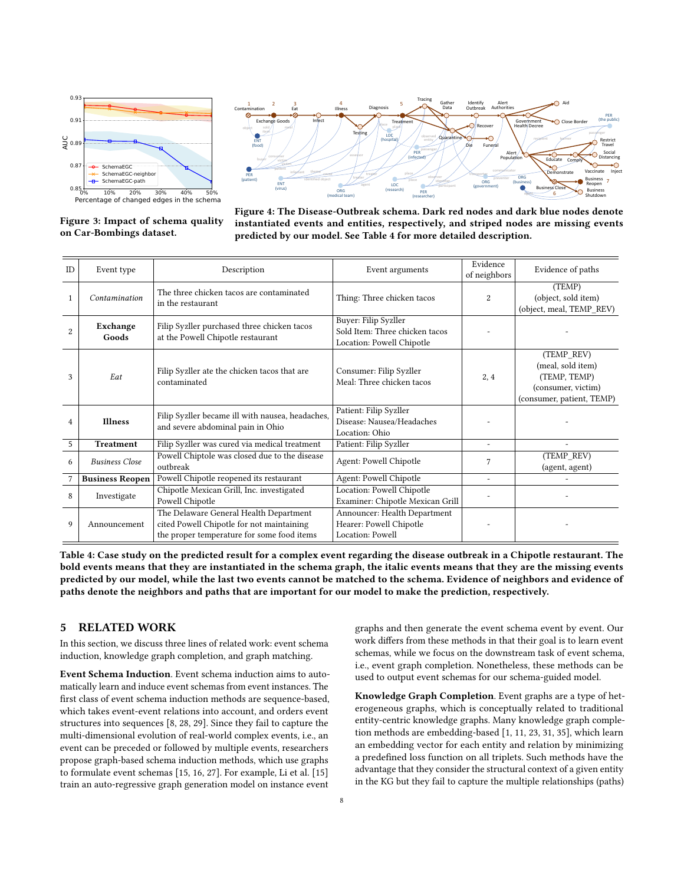<span id="page-7-0"></span>





Figure 4: The Disease-Outbreak schema. Dark red nodes and dark blue nodes denote instantiated events and entities, respectively, and striped nodes are missing events predicted by our model. See Table [4](#page-7-1) for more detailed description.

<span id="page-7-1"></span>

| ID             | Event type             | Description                                                                                                                       | Event arguments                                                                     | Evidence<br>of neighbors | Evidence of paths                                                                                  |
|----------------|------------------------|-----------------------------------------------------------------------------------------------------------------------------------|-------------------------------------------------------------------------------------|--------------------------|----------------------------------------------------------------------------------------------------|
|                | Contamination          | The three chicken tacos are contaminated<br>in the restaurant                                                                     | Thing: Three chicken tacos                                                          | 2                        | (TEMP)<br>(object, sold item)<br>(object, meal, TEMP_REV)                                          |
| $\overline{2}$ | Exchange<br>Goods      | Filip Syzller purchased three chicken tacos<br>at the Powell Chipotle restaurant                                                  | Buyer: Filip Syzller<br>Sold Item: Three chicken tacos<br>Location: Powell Chipotle |                          |                                                                                                    |
| 3              | Eat                    | Filip Syzller ate the chicken tacos that are<br>contaminated                                                                      | Consumer: Filip Syzller<br>Meal: Three chicken tacos                                | 2, 4                     | (TEMP REV)<br>(meal, sold item)<br>(TEMP, TEMP)<br>(consumer, victim)<br>(consumer, patient, TEMP) |
| 4              | <b>Illness</b>         | Filip Syzller became ill with nausea, headaches,<br>and severe abdominal pain in Ohio                                             | Patient: Filip Syzller<br>Disease: Nausea/Headaches<br>Location: Ohio               |                          |                                                                                                    |
| 5              | <b>Treatment</b>       | Filip Syzller was cured via medical treatment                                                                                     | Patient: Filip Syzller                                                              | $\overline{a}$           |                                                                                                    |
| 6              | <b>Business Close</b>  | Powell Chiptole was closed due to the disease<br>outbreak                                                                         | Agent: Powell Chipotle                                                              | 7                        | (TEMP REV)<br>(agent, agent)                                                                       |
|                | <b>Business Reopen</b> | Powell Chipotle reopened its restaurant                                                                                           | Agent: Powell Chipotle                                                              | ÷.                       |                                                                                                    |
| 8              | Investigate            | Chipotle Mexican Grill, Inc. investigated<br>Powell Chipotle                                                                      | Location: Powell Chipotle<br>Examiner: Chipotle Mexican Grill                       |                          |                                                                                                    |
| 9              | Announcement           | The Delaware General Health Department<br>cited Powell Chipotle for not maintaining<br>the proper temperature for some food items | Announcer: Health Department<br>Hearer: Powell Chipotle<br>Location: Powell         |                          |                                                                                                    |

Table 4: Case study on the predicted result for a complex event regarding the disease outbreak in a Chipotle restaurant. The bold events means that they are instantiated in the schema graph, the italic events means that they are the missing events predicted by our model, while the last two events cannot be matched to the schema. Evidence of neighbors and evidence of paths denote the neighbors and paths that are important for our model to make the prediction, respectively.

# 5 RELATED WORK

In this section, we discuss three lines of related work: event schema induction, knowledge graph completion, and graph matching.

Event Schema Induction. Event schema induction aims to automatically learn and induce event schemas from event instances. The first class of event schema induction methods are sequence-based, which takes event-event relations into account, and orders event structures into sequences [\[8,](#page-8-6) [28,](#page-8-8) [29\]](#page-8-9). Since they fail to capture the multi-dimensional evolution of real-world complex events, i.e., an event can be preceded or followed by multiple events, researchers propose graph-based schema induction methods, which use graphs to formulate event schemas [\[15,](#page-8-5) [16,](#page-8-7) [27\]](#page-8-19). For example, Li et al. [\[15\]](#page-8-5) train an auto-regressive graph generation model on instance event

graphs and then generate the event schema event by event. Our work differs from these methods in that their goal is to learn event schemas, while we focus on the downstream task of event schema, i.e., event graph completion. Nonetheless, these methods can be used to output event schemas for our schema-guided model.

Knowledge Graph Completion. Event graphs are a type of heterogeneous graphs, which is conceptually related to traditional entity-centric knowledge graphs. Many knowledge graph completion methods are embedding-based [\[1,](#page-8-17) [11,](#page-8-20) [23,](#page-8-18) [31,](#page-9-6) [35\]](#page-9-1), which learn an embedding vector for each entity and relation by minimizing a predefined loss function on all triplets. Such methods have the advantage that they consider the structural context of a given entity in the KG but they fail to capture the multiple relationships (paths)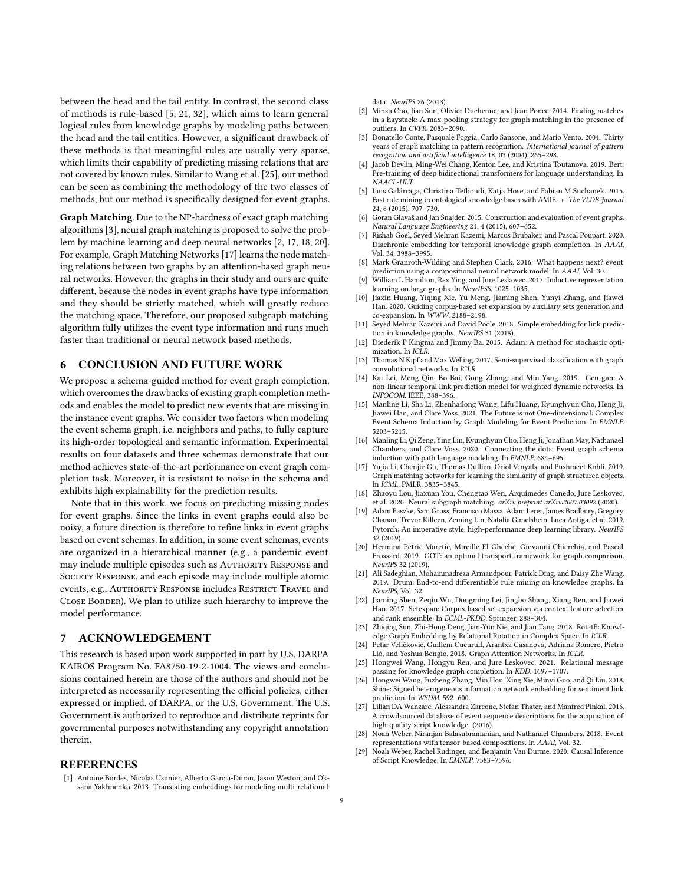between the head and the tail entity. In contrast, the second class of methods is rule-based [\[5,](#page-8-21) [21,](#page-8-22) [32\]](#page-9-7), which aims to learn general logical rules from knowledge graphs by modeling paths between the head and the tail entities. However, a significant drawback of these methods is that meaningful rules are usually very sparse, which limits their capability of predicting missing relations that are not covered by known rules. Similar to Wang et al. [\[25\]](#page-8-4), our method can be seen as combining the methodology of the two classes of methods, but our method is specifically designed for event graphs.

Graph Matching. Due to the NP-hardness of exact graph matching algorithms [\[3\]](#page-8-23), neural graph matching is proposed to solve the problem by machine learning and deep neural networks [\[2,](#page-8-10) [17,](#page-8-24) [18,](#page-8-25) [20\]](#page-8-26). For example, Graph Matching Networks [\[17\]](#page-8-24) learns the node matching relations between two graphs by an attention-based graph neural networks. However, the graphs in their study and ours are quite different, because the nodes in event graphs have type information and they should be strictly matched, which will greatly reduce the matching space. Therefore, our proposed subgraph matching algorithm fully utilizes the event type information and runs much faster than traditional or neural network based methods.

# 6 CONCLUSION AND FUTURE WORK

We propose a schema-guided method for event graph completion, which overcomes the drawbacks of existing graph completion methods and enables the model to predict new events that are missing in the instance event graphs. We consider two factors when modeling the event schema graph, i.e. neighbors and paths, to fully capture its high-order topological and semantic information. Experimental results on four datasets and three schemas demonstrate that our method achieves state-of-the-art performance on event graph completion task. Moreover, it is resistant to noise in the schema and exhibits high explainability for the prediction results.

Note that in this work, we focus on predicting missing nodes for event graphs. Since the links in event graphs could also be noisy, a future direction is therefore to refine links in event graphs based on event schemas. In addition, in some event schemas, events are organized in a hierarchical manner (e.g., a pandemic event may include multiple episodes such as AUTHORITY RESPONSE and SOCIETY RESPONSE, and each episode may include multiple atomic events, e.g., AUTHORITY RESPONSE includes RESTRICT TRAVEL and CLOSE BORDER). We plan to utilize such hierarchy to improve the model performance.

# 7 ACKNOWLEDGEMENT

This research is based upon work supported in part by U.S. DARPA KAIROS Program No. FA8750-19-2-1004. The views and conclusions contained herein are those of the authors and should not be interpreted as necessarily representing the official policies, either expressed or implied, of DARPA, or the U.S. Government. The U.S. Government is authorized to reproduce and distribute reprints for governmental purposes notwithstanding any copyright annotation therein.

# REFERENCES

<span id="page-8-17"></span>[1] Antoine Bordes, Nicolas Usunier, Alberto Garcia-Duran, Jason Weston, and Oksana Yakhnenko. 2013. Translating embeddings for modeling multi-relational data. NeurIPS 26 (2013).

- <span id="page-8-10"></span>[2] Minsu Cho, Jian Sun, Olivier Duchenne, and Jean Ponce. 2014. Finding matches in a haystack: A max-pooling strategy for graph matching in the presence of outliers. In CVPR. 2083–2090.
- <span id="page-8-23"></span>[3] Donatello Conte, Pasquale Foggia, Carlo Sansone, and Mario Vento. 2004. Thirty years of graph matching in pattern recognition. International journal of pattern recognition and artificial intelligence 18, 03 (2004), 265–298.
- <span id="page-8-11"></span>[4] Jacob Devlin, Ming-Wei Chang, Kenton Lee, and Kristina Toutanova. 2019. Bert: Pre-training of deep bidirectional transformers for language understanding. In NAACL-HLT.
- <span id="page-8-21"></span>[5] Luis Galárraga, Christina Teflioudi, Katja Hose, and Fabian M Suchanek. 2015. Fast rule mining in ontological knowledge bases with AMIE++. The VLDB Journal 24, 6 (2015), 707–730.
- <span id="page-8-0"></span>[6] Goran Glavaš and Jan Šnajder. 2015. Construction and evaluation of event graphs. Natural Language Engineering 21, 4 (2015), 607–652.
- <span id="page-8-3"></span>[7] Rishab Goel, Seyed Mehran Kazemi, Marcus Brubaker, and Pascal Poupart. 2020. Diachronic embedding for temporal knowledge graph completion. In AAAI, Vol. 34. 3988–3995.
- <span id="page-8-6"></span>[8] Mark Granroth-Wilding and Stephen Clark. 2016. What happens next? event prediction using a compositional neural network model. In AAAI, Vol. 30.
- <span id="page-8-12"></span>William L Hamilton, Rex Ying, and Jure Leskovec. 2017. Inductive representation learning on large graphs. In NeurIPSS. 1025–1035.
- <span id="page-8-15"></span>[10] Jiaxin Huang, Yiqing Xie, Yu Meng, Jiaming Shen, Yunyi Zhang, and Jiawei Han. 2020. Guiding corpus-based set expansion by auxiliary sets generation and co-expansion. In WWW. 2188–2198.
- <span id="page-8-20"></span>[11] Seyed Mehran Kazemi and David Poole. 2018. Simple embedding for link prediction in knowledge graphs. NeurIPS 31 (2018).
- <span id="page-8-28"></span>[12] Diederik P Kingma and Jimmy Ba. 2015. Adam: A method for stochastic optimization. In ICLR.
- <span id="page-8-13"></span>[13] Thomas N Kipf and Max Welling. 2017. Semi-supervised classification with graph convolutional networks. In ICLR.
- <span id="page-8-1"></span>[14] Kai Lei, Meng Qin, Bo Bai, Gong Zhang, and Min Yang. 2019. Gcn-gan: A non-linear temporal link prediction model for weighted dynamic networks. In INFOCOM. IEEE, 388–396.
- <span id="page-8-5"></span>[15] Manling Li, Sha Li, Zhenhailong Wang, Lifu Huang, Kyunghyun Cho, Heng Ji, Jiawei Han, and Clare Voss. 2021. The Future is not One-dimensional: Complex Event Schema Induction by Graph Modeling for Event Prediction. In EMNLP. 5203–5215.
- <span id="page-8-7"></span>[16] Manling Li, Qi Zeng, Ying Lin, Kyunghyun Cho, Heng Ji, Jonathan May, Nathanael Chambers, and Clare Voss. 2020. Connecting the dots: Event graph schema induction with path language modeling. In EMNLP. 684–695.
- <span id="page-8-24"></span>[17] Yujia Li, Chenjie Gu, Thomas Dullien, Oriol Vinyals, and Pushmeet Kohli. 2019. Graph matching networks for learning the similarity of graph structured objects. In ICML. PMLR, 3835–3845.
- <span id="page-8-25"></span>[18] Zhaoyu Lou, Jiaxuan You, Chengtao Wen, Arquimedes Canedo, Jure Leskovec, et al. 2020. Neural subgraph matching. arXiv preprint arXiv:2007.03092 (2020).
- <span id="page-8-27"></span>[19] Adam Paszke, Sam Gross, Francisco Massa, Adam Lerer, James Bradbury, Gregory Chanan, Trevor Killeen, Zeming Lin, Natalia Gimelshein, Luca Antiga, et al. 2019. Pytorch: An imperative style, high-performance deep learning library. NeurIPS 32 (2019).
- <span id="page-8-26"></span>[20] Hermina Petric Maretic, Mireille El Gheche, Giovanni Chierchia, and Pascal Frossard. 2019. GOT: an optimal transport framework for graph comparison. NeurIPS 32 (2019).
- <span id="page-8-22"></span>[21] Ali Sadeghian, Mohammadreza Armandpour, Patrick Ding, and Daisy Zhe Wang. 2019. Drum: End-to-end differentiable rule mining on knowledge graphs. In NeurIPS, Vol. 32.
- <span id="page-8-16"></span>[22] Jiaming Shen, Zeqiu Wu, Dongming Lei, Jingbo Shang, Xiang Ren, and Jiawei Han. 2017. Setexpan: Corpus-based set expansion via context feature selection and rank ensemble. In ECML-PKDD. Springer, 288–304.
- <span id="page-8-18"></span>[23] Zhiqing Sun, Zhi-Hong Deng, Jian-Yun Nie, and Jian Tang. 2018. RotatE: Knowledge Graph Embedding by Relational Rotation in Complex Space. In ICLR.
- <span id="page-8-14"></span>[24] Petar Veličković, Guillem Cucurull, Arantxa Casanova, Adriana Romero, Pietro Liò, and Yoshua Bengio. 2018. Graph Attention Networks. In ICLR.
- <span id="page-8-4"></span>[25] Hongwei Wang, Hongyu Ren, and Jure Leskovec. 2021. Relational message passing for knowledge graph completion. In KDD. 1697–1707.
- <span id="page-8-2"></span>[26] Hongwei Wang, Fuzheng Zhang, Min Hou, Xing Xie, Minyi Guo, and Qi Liu. 2018. Shine: Signed heterogeneous information network embedding for sentiment link prediction. In WSDM. 592–600.
- <span id="page-8-19"></span>[27] Lilian DA Wanzare, Alessandra Zarcone, Stefan Thater, and Manfred Pinkal. 2016. A crowdsourced database of event sequence descriptions for the acquisition of high-quality script knowledge. (2016).
- <span id="page-8-8"></span>[28] Noah Weber, Niranjan Balasubramanian, and Nathanael Chambers. 2018. Event representations with tensor-based compositions. In AAAI, Vol. 32.
- <span id="page-8-9"></span>[29] Noah Weber, Rachel Rudinger, and Benjamin Van Durme. 2020. Causal Inference of Script Knowledge. In EMNLP. 7583–7596.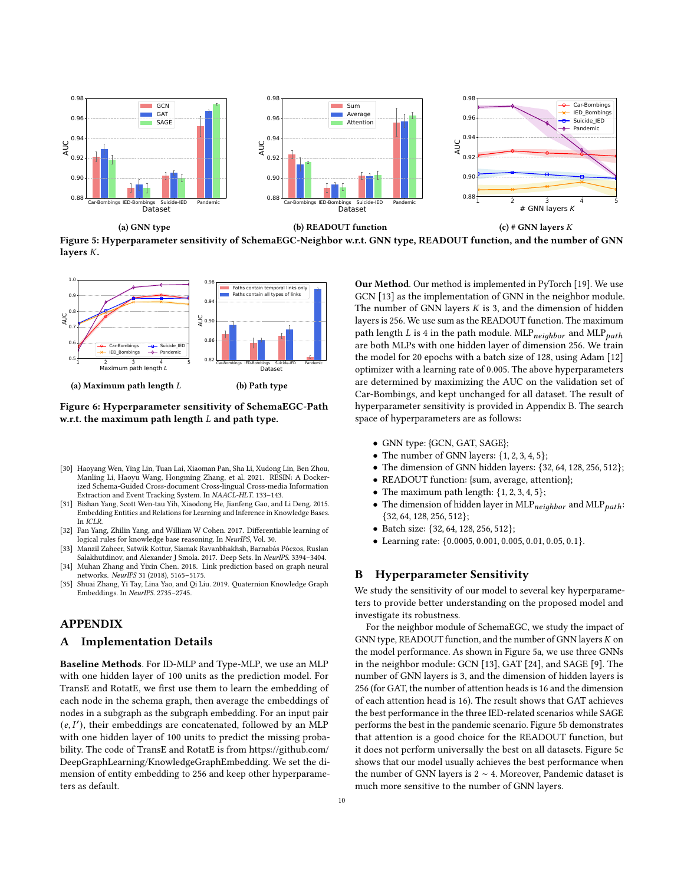<span id="page-9-8"></span>

Figure 5: Hyperparameter sensitivity of SchemaEGC-Neighbor w.r.t. GNN type, READOUT function, and the number of GNN layers  $K$ .

<span id="page-9-9"></span>

Figure 6: Hyperparameter sensitivity of SchemaEGC-Path w.r.t. the maximum path length  $L$  and path type.

- <span id="page-9-4"></span>[30] Haoyang Wen, Ying Lin, Tuan Lai, Xiaoman Pan, Sha Li, Xudong Lin, Ben Zhou, Manling Li, Haoyu Wang, Hongming Zhang, et al. 2021. RESIN: A Dockerized Schema-Guided Cross-document Cross-lingual Cross-media Information Extraction and Event Tracking System. In NAACL-HLT. 133–143.
- <span id="page-9-6"></span>[31] Bishan Yang, Scott Wen-tau Yih, Xiaodong He, Jianfeng Gao, and Li Deng. 2015. Embedding Entities and Relations for Learning and Inference in Knowledge Bases. In ICLR.
- <span id="page-9-7"></span>[32] Fan Yang, Zhilin Yang, and William W Cohen. 2017. Differentiable learning of logical rules for knowledge base reasoning. In NeurIPS, Vol. 30.
- <span id="page-9-3"></span>[33] Manzil Zaheer, Satwik Kottur, Siamak Ravanbhakhsh, Barnabás Póczos, Ruslan Salakhutdinov, and Alexander J Smola. 2017. Deep Sets. In NeurIPS. 3394–3404.
- <span id="page-9-0"></span>[34] Muhan Zhang and Yixin Chen. 2018. Link prediction based on graph neural networks. NeurIPS 31 (2018), 5165–5175.
- <span id="page-9-1"></span>[35] Shuai Zhang, Yi Tay, Lina Yao, and Qi Liu. 2019. Quaternion Knowledge Graph Embeddings. In NeurIPS. 2735–2745.

# APPENDIX

# <span id="page-9-5"></span>A Implementation Details

Baseline Methods. For ID-MLP and Type-MLP, we use an MLP with one hidden layer of 100 units as the prediction model. For TransE and RotatE, we first use them to learn the embedding of each node in the schema graph, then average the embeddings of nodes in a subgraph as the subgraph embedding. For an input pair  $(e, I')$ , their embeddings are concatenated, followed by an MLP with one hidden layer of 100 units to predict the missing probability. The code of TransE and RotatE is from [https://github.com/](https://github.com/DeepGraphLearning/KnowledgeGraphEmbedding) [DeepGraphLearning/KnowledgeGraphEmbedding.](https://github.com/DeepGraphLearning/KnowledgeGraphEmbedding) We set the dimension of entity embedding to 256 and keep other hyperparameters as default.

Our Method. Our method is implemented in PyTorch [\[19\]](#page-8-27). We use GCN [\[13\]](#page-8-13) as the implementation of GNN in the neighbor module. The number of GNN layers  $K$  is 3, and the dimension of hidden layers is 256. We use sum as the READOUT function. The maximum path length  $L$  is 4 in the path module. MLP $_{neighbor}$  and MLP $_{path}$ are both MLPs with one hidden layer of dimension 256. We train the model for 20 epochs with a batch size of 128, using Adam [\[12\]](#page-8-28) optimizer with a learning rate of 0.005. The above hyperparameters are determined by maximizing the AUC on the validation set of Car-Bombings, and kept unchanged for all dataset. The result of hyperparameter sensitivity is provided in Appendix [B.](#page-9-2) The search space of hyperparameters are as follows:

- GNN type: {GCN, GAT, SAGE};
- The number of GNN layers:  $\{1, 2, 3, 4, 5\}$ ;
- The dimension of GNN hidden layers: {32, 64, 128, 256, 512};
- READOUT function: {sum, average, attention};
- The maximum path length:  $\{1, 2, 3, 4, 5\}$ ;
- The dimension of hidden layer in MLP $_{neiahbor}$  and MLP $_{path}$ : {32, 64, 128, 256, 512};
- Batch size: {32, 64, 128, 256, 512};
- Learning rate: {0.0005, 0.001, 0.005, 0.01, 0.05, 0.1}.

#### <span id="page-9-2"></span>B Hyperparameter Sensitivity

We study the sensitivity of our model to several key hyperparameters to provide better understanding on the proposed model and investigate its robustness.

For the neighbor module of SchemaEGC, we study the impact of GNN type, READOUT function, and the number of GNN layers  $K$  on the model performance. As shown in Figure [5a,](#page-9-8) we use three GNNs in the neighbor module: GCN [\[13\]](#page-8-13), GAT [\[24\]](#page-8-14), and SAGE [\[9\]](#page-8-12). The number of GNN layers is 3, and the dimension of hidden layers is 256 (for GAT, the number of attention heads is 16 and the dimension of each attention head is 16). The result shows that GAT achieves the best performance in the three IED-related scenarios while SAGE performs the best in the pandemic scenario. Figure [5b](#page-9-8) demonstrates that attention is a good choice for the READOUT function, but it does not perform universally the best on all datasets. Figure [5c](#page-9-8) shows that our model usually achieves the best performance when the number of GNN layers is 2 ∼ 4. Moreover, Pandemic dataset is much more sensitive to the number of GNN layers.